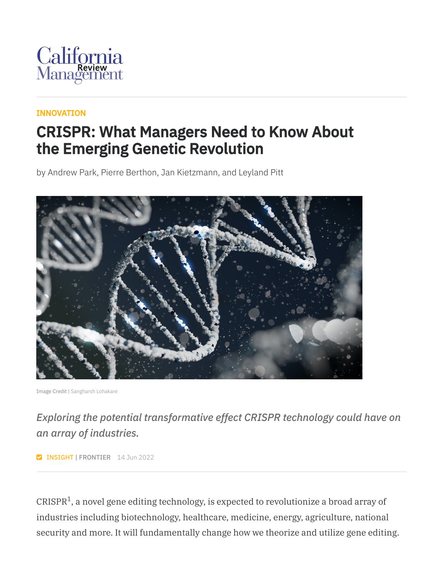

#### [INNOVATION](https://cmr.berkeley.edu/browse/topics/innovation/)

### CRISPR: What Managers Need to Know About the Emerging Genetic Revolution

by Andrew Park, Pierre Berthon, Jan Kietzmann, and Leyland Pitt



Image Credit | [Sangharsh Lohakare](https://unsplash.com/photos/Iy7QyzOs1bo)

*Exploring the potential transformative effect CRISPR technology could have on an array of industries.*

**INSIGHT | FRONTIER** 14 Jun 2022

CRISPR $^1$ , a novel gene editing technology, is expected to revolutionize a broad array of industries including biotechnology, healthcare, medicine, energy, agriculture, national security and more. It will fundamentally change how we theorize and utilize gene editing.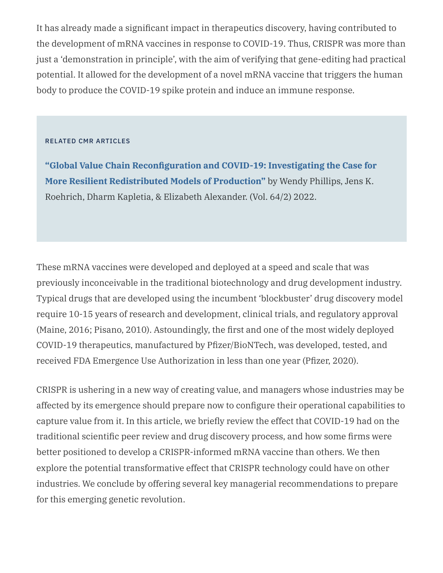It has already made a significant impact in therapeutics discovery, having contributed to the development of mRNA vaccines in response to COVID-19. Thus, CRISPR was more than just a 'demonstration in principle', with the aim of verifying that gene-editing had practical potential. It allowed for the development of a novel mRNA vaccine that triggers the human body to produce the COVID-19 spike protein and induce an immune response.

#### RELATED CMR ARTICLES

**"Global Value Chain [Reconfiguration](https://journals.sagepub.com/doi/10.1177/00081256211068545) and COVID-19: Investigating the Case for More Resilient Redistributed Models of Production"** by Wendy Phillips, Jens K. Roehrich, Dharm Kapletia, & Elizabeth Alexander. (Vol. 64/2) 2022.

These mRNA vaccines were developed and deployed at a speed and scale that was previously inconceivable in the traditional biotechnology and drug development industry. Typical drugs that are developed using the incumbent 'blockbuster' drug discovery model require 10-15 years of research and development, clinical trials, and regulatory approval (Maine, 2016; Pisano, 2010). Astoundingly, the first and one of the most widely deployed COVID-19 therapeutics, manufactured by Pfizer/BioNTech, was developed, tested, and received FDA Emergence Use Authorization in less than one year (Pfizer, 2020).

CRISPR is ushering in a new way of creating value, and managers whose industries may be affected by its emergence should prepare now to configure their operational capabilities to capture value from it. In this article, we briefly review the effect that COVID-19 had on the traditional scientific peer review and drug discovery process, and how some firms were better positioned to develop a CRISPR-informed mRNA vaccine than others. We then explore the potential transformative effect that CRISPR technology could have on other industries. We conclude by offering several key managerial recommendations to prepare for this emerging genetic revolution.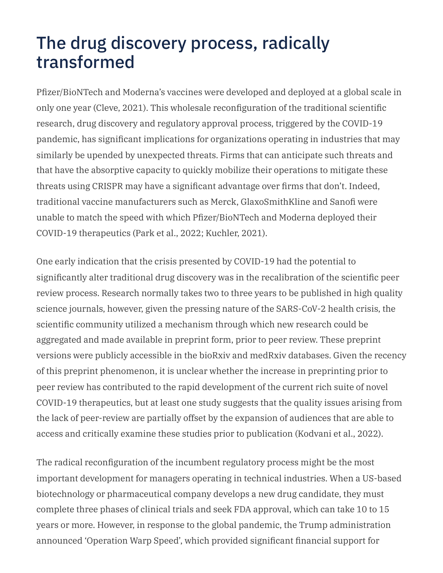# The drug discovery process, radically transformed

Pfizer/BioNTech and Moderna's vaccines were developed and deployed at a global scale in only one year (Cleve, 2021). This wholesale reconfiguration of the traditional scientific research, drug discovery and regulatory approval process, triggered by the COVID-19 pandemic, has significant implications for organizations operating in industries that may similarly be upended by unexpected threats. Firms that can anticipate such threats and that have the absorptive capacity to quickly mobilize their operations to mitigate these threats using CRISPR may have a significant advantage over firms that don't. Indeed, traditional vaccine manufacturers such as Merck, GlaxoSmithKline and Sanofi were unable to match the speed with which Pfizer/BioNTech and Moderna deployed their COVID-19 therapeutics (Park et al., 2022; Kuchler, 2021).

One early indication that the crisis presented by COVID-19 had the potential to significantly alter traditional drug discovery was in the recalibration of the scientific peer review process. Research normally takes two to three years to be published in high quality science journals, however, given the pressing nature of the SARS-CoV-2 health crisis, the scientific community utilized a mechanism through which new research could be aggregated and made available in preprint form, prior to peer review. These preprint versions were publicly accessible in the bioRxiv and medRxiv databases. Given the recency of this preprint phenomenon, it is unclear whether the increase in preprinting prior to peer review has contributed to the rapid development of the current rich suite of novel COVID-19 therapeutics, but at least one study suggests that the quality issues arising from the lack of peer-review are partially offset by the expansion of audiences that are able to access and critically examine these studies prior to publication (Kodvani et al., 2022).

The radical reconfiguration of the incumbent regulatory process might be the most important development for managers operating in technical industries. When a US-based biotechnology or pharmaceutical company develops a new drug candidate, they must complete three phases of clinical trials and seek FDA approval, which can take 10 to 15 years or more. However, in response to the global pandemic, the Trump administration announced 'Operation Warp Speed', which provided significant financial support for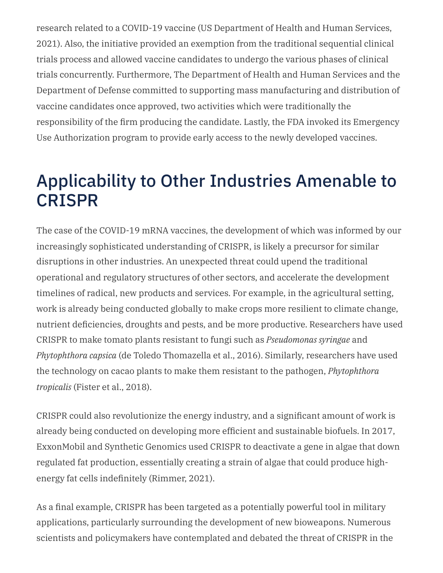research related to a COVID-19 vaccine (US Department of Health and Human Services, 2021). Also, the initiative provided an exemption from the traditional sequential clinical trials process and allowed vaccine candidates to undergo the various phases of clinical trials concurrently. Furthermore, The Department of Health and Human Services and the Department of Defense committed to supporting mass manufacturing and distribution of vaccine candidates once approved, two activities which were traditionally the responsibility of the firm producing the candidate. Lastly, the FDA invoked its Emergency Use Authorization program to provide early access to the newly developed vaccines.

# Applicability to Other Industries Amenable to CRISPR

The case of the COVID-19 mRNA vaccines, the development of which was informed by our increasingly sophisticated understanding of CRISPR, is likely a precursor for similar disruptions in other industries. An unexpected threat could upend the traditional operational and regulatory structures of other sectors, and accelerate the development timelines of radical, new products and services. For example, in the agricultural setting, work is already being conducted globally to make crops more resilient to climate change, nutrient deficiencies, droughts and pests, and be more productive. Researchers have used CRISPR to make tomato plants resistant to fungi such as *Pseudomonas syringae* and *Phytophthora capsica* (de Toledo Thomazella et al., 2016). Similarly, researchers have used the technology on cacao plants to make them resistant to the pathogen, *Phytophthora tropicalis* (Fister et al., 2018).

CRISPR could also revolutionize the energy industry, and a significant amount of work is already being conducted on developing more efficient and sustainable biofuels. In 2017, ExxonMobil and Synthetic Genomics used CRISPR to deactivate a gene in algae that down regulated fat production, essentially creating a strain of algae that could produce highenergy fat cells indefinitely (Rimmer, 2021).

As a final example, CRISPR has been targeted as a potentially powerful tool in military applications, particularly surrounding the development of new bioweapons. Numerous scientists and policymakers have contemplated and debated the threat of CRISPR in the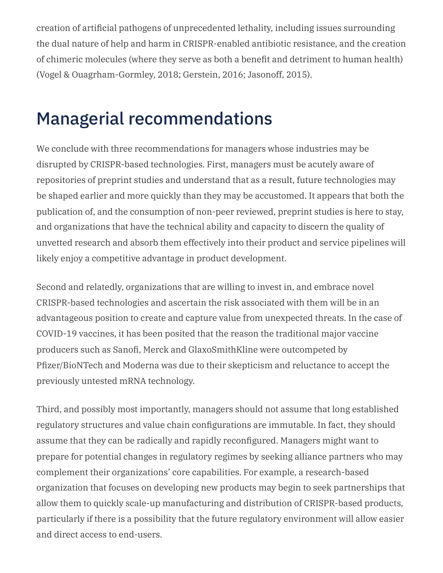creation of artificial pathogens of unprecedented lethality, including issues surrounding the dual nature of help and harm in CRISPR-enabled antibiotic resistance, and the creation of chimeric molecules (where they serve as both a benefit and detriment to human health) (Vogel & Ouagrham-Gormley, 2018; Gerstein, 2016; Jasonoff, 2015).

# Managerial recommendations

We conclude with three recommendations for managers whose industries may be disrupted by CRISPR-based technologies. First, managers must be acutely aware of repositories of preprint studies and understand that as a result, future technologies may be shaped earlier and more quickly than they may be accustomed. It appears that both the publication of, and the consumption of non-peer reviewed, preprint studies is here to stay, and organizations that have the technical ability and capacity to discern the quality of unvetted research and absorb them effectively into their product and service pipelines will likely enjoy a competitive advantage in product development.

Second and relatedly, organizations that are willing to invest in, and embrace novel CRISPR-based technologies and ascertain the risk associated with them will be in an advantageous position to create and capture value from unexpected threats. In the case of COVID-19 vaccines, it has been posited that the reason the traditional major vaccine producers such as Sanofi, Merck and GlaxoSmithKline were outcompeted by Pfizer/BioNTech and Moderna was due to their skepticism and reluctance to accept the previously untested mRNA technology.

Third, and possibly most importantly, managers should not assume that long established regulatory structures and value chain configurations are immutable. In fact, they should assume that they can be radically and rapidly reconfigured. Managers might want to prepare for potential changes in regulatory regimes by seeking alliance partners who may complement their organizations' core capabilities. For example, a research-based organization that focuses on developing new products may begin to seek partnerships that allow them to quickly scale-up manufacturing and distribution of CRISPR-based products, particularly if there is a possibility that the future regulatory environment will allow easier and direct access to end-users.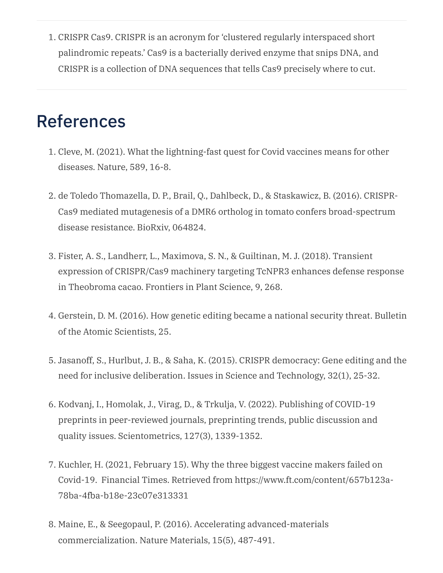1. CRISPR Cas9. CRISPR is an acronym for 'clustered regularly interspaced short palindromic repeats.' Cas9 is a bacterially derived enzyme that snips DNA, and CRISPR is a collection of DNA sequences that tells Cas9 precisely where to cut.

### References

- 1. Cleve, M. (2021). What the lightning-fast quest for Covid vaccines means for other diseases. Nature, 589, 16-8.
- 2. de Toledo Thomazella, D. P., Brail, Q., Dahlbeck, D., & Staskawicz, B. (2016). CRISPR-Cas9 mediated mutagenesis of a DMR6 ortholog in tomato confers broad-spectrum disease resistance. BioRxiv, 064824.
- 3. Fister, A. S., Landherr, L., Maximova, S. N., & Guiltinan, M. J. (2018). Transient expression of CRISPR/Cas9 machinery targeting TcNPR3 enhances defense response in Theobroma cacao. Frontiers in Plant Science, 9, 268.
- 4. Gerstein, D. M. (2016). How genetic editing became a national security threat. Bulletin of the Atomic Scientists, 25.
- 5. Jasanoff, S., Hurlbut, J. B., & Saha, K. (2015). CRISPR democracy: Gene editing and the need for inclusive deliberation. Issues in Science and Technology, 32(1), 25-32.
- 6. Kodvanj, I., Homolak, J., Virag, D., & Trkulja, V. (2022). Publishing of COVID-19 preprints in peer-reviewed journals, preprinting trends, public discussion and quality issues. Scientometrics, 127(3), 1339-1352.
- 7. Kuchler, H. (2021, February 15). Why the three biggest vaccine makers failed on Covid-19. Financial Times. Retrieved from https://www.ft.com/content/657b123a-78ba-4fba-b18e-23c07e313331
- 8. Maine, E., & Seegopaul, P. (2016). Accelerating advanced-materials commercialization. Nature Materials, 15(5), 487-491.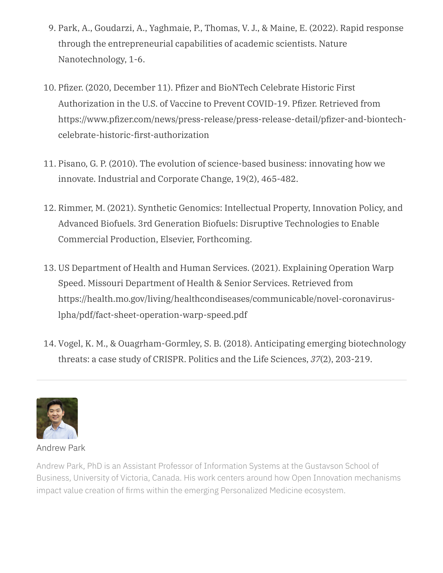- 9. Park, A., Goudarzi, A., Yaghmaie, P., Thomas, V. J., & Maine, E. (2022). Rapid response through the entrepreneurial capabilities of academic scientists. Nature Nanotechnology, 1-6.
- 10. Pfizer. (2020, December 11). Pfizer and BioNTech Celebrate Historic First Authorization in the U.S. of Vaccine to Prevent COVID-19. Pfizer. Retrieved from https://www.pfizer.com/news/press-release/press-release-detail/pfizer-and-biontechcelebrate-historic-first-authorization
- 11. Pisano, G. P. (2010). The evolution of science-based business: innovating how we innovate. Industrial and Corporate Change, 19(2), 465-482.
- 12. Rimmer, M. (2021). Synthetic Genomics: Intellectual Property, Innovation Policy, and Advanced Biofuels. 3rd Generation Biofuels: Disruptive Technologies to Enable Commercial Production, Elsevier, Forthcoming.
- 13. US Department of Health and Human Services. (2021). Explaining Operation Warp Speed. Missouri Department of Health & Senior Services. Retrieved from https://health.mo.gov/living/healthcondiseases/communicable/novel-coronaviruslpha/pdf/fact-sheet-operation-warp-speed.pdf
- 14. Vogel, K. M., & Ouagrham-Gormley, S. B. (2018). Anticipating emerging biotechnology threats: a case study of CRISPR. Politics and the Life Sciences, *37*(2), 203-219.



#### [Andrew](http://localhost:4000/2022/06/crispr-what-managers-need-to-know-about-the-emerging-genetic-revolution/www.uvic.ca) Park

Andrew Park, PhD is an Assistant Professor of Information Systems at the Gustavson School of Business, University of Victoria, Canada. His work centers around how Open Innovation mechanisms impact value creation of firms within the emerging Personalized Medicine ecosystem.